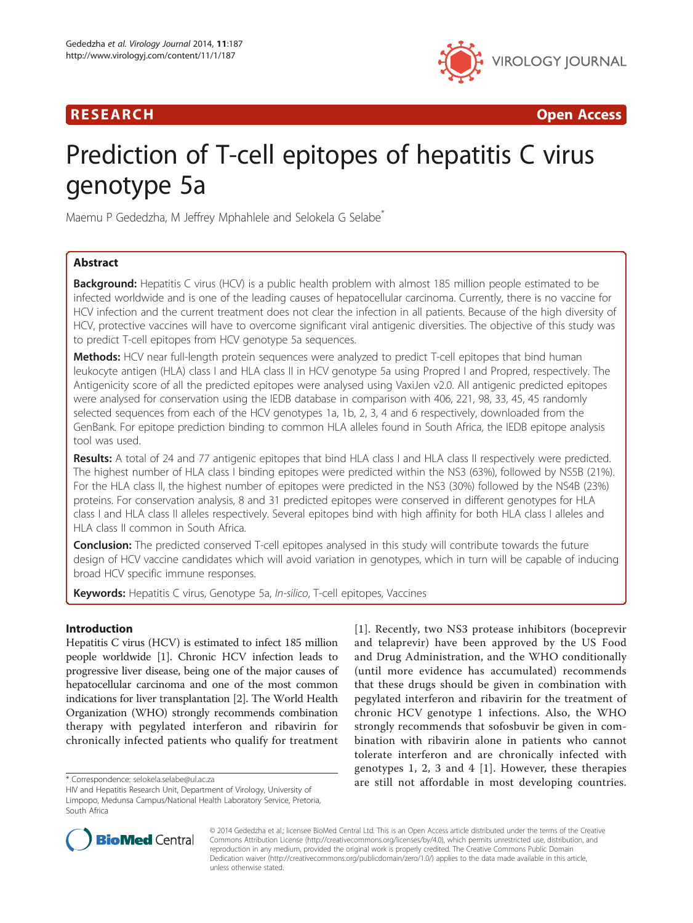# R E S EAR CH Open Access



# Prediction of T-cell epitopes of hepatitis C virus genotype 5a

Maemu P Gededzha, M Jeffrey Mphahlele and Selokela G Selabe<sup>\*</sup>

# Abstract

**Background:** Hepatitis C virus (HCV) is a public health problem with almost 185 million people estimated to be infected worldwide and is one of the leading causes of hepatocellular carcinoma. Currently, there is no vaccine for HCV infection and the current treatment does not clear the infection in all patients. Because of the high diversity of HCV, protective vaccines will have to overcome significant viral antigenic diversities. The objective of this study was to predict T-cell epitopes from HCV genotype 5a sequences.

Methods: HCV near full-length protein sequences were analyzed to predict T-cell epitopes that bind human leukocyte antigen (HLA) class I and HLA class II in HCV genotype 5a using Propred I and Propred, respectively. The Antigenicity score of all the predicted epitopes were analysed using VaxiJen v2.0. All antigenic predicted epitopes were analysed for conservation using the IEDB database in comparison with 406, 221, 98, 33, 45, 45 randomly selected sequences from each of the HCV genotypes 1a, 1b, 2, 3, 4 and 6 respectively, downloaded from the GenBank. For epitope prediction binding to common HLA alleles found in South Africa, the IEDB epitope analysis tool was used.

Results: A total of 24 and 77 antigenic epitopes that bind HLA class I and HLA class II respectively were predicted. The highest number of HLA class I binding epitopes were predicted within the NS3 (63%), followed by NS5B (21%). For the HLA class II, the highest number of epitopes were predicted in the NS3 (30%) followed by the NS4B (23%) proteins. For conservation analysis, 8 and 31 predicted epitopes were conserved in different genotypes for HLA class I and HLA class II alleles respectively. Several epitopes bind with high affinity for both HLA class I alleles and HLA class II common in South Africa.

Conclusion: The predicted conserved T-cell epitopes analysed in this study will contribute towards the future design of HCV vaccine candidates which will avoid variation in genotypes, which in turn will be capable of inducing broad HCV specific immune responses.

Keywords: Hepatitis C virus, Genotype 5a, In-silico, T-cell epitopes, Vaccines

## Introduction

Hepatitis C virus (HCV) is estimated to infect 185 million people worldwide [\[1\]](#page-11-0). Chronic HCV infection leads to progressive liver disease, being one of the major causes of hepatocellular carcinoma and one of the most common indications for liver transplantation [\[2](#page-11-0)]. The World Health Organization (WHO) strongly recommends combination therapy with pegylated interferon and ribavirin for chronically infected patients who qualify for treatment

[[1](#page-11-0)]. Recently, two NS3 protease inhibitors (boceprevir and telaprevir) have been approved by the US Food and Drug Administration, and the WHO conditionally (until more evidence has accumulated) recommends that these drugs should be given in combination with pegylated interferon and ribavirin for the treatment of chronic HCV genotype 1 infections. Also, the WHO strongly recommends that sofosbuvir be given in combination with ribavirin alone in patients who cannot tolerate interferon and are chronically infected with genotypes 1, 2, 3 and 4 [[1\]](#page-11-0). However, these therapies \*Correspondence: [selokela.selabe@ul.ac.za](mailto:selokela.selabe@ul.ac.za) **are still not affordable in most developing countries.** 



© 2014 Gededzha et al.; licensee BioMed Central Ltd. This is an Open Access article distributed under the terms of the Creative Commons Attribution License [\(http://creativecommons.org/licenses/by/4.0\)](http://creativecommons.org/licenses/by/4.0), which permits unrestricted use, distribution, and reproduction in any medium, provided the original work is properly credited. The Creative Commons Public Domain Dedication waiver [\(http://creativecommons.org/publicdomain/zero/1.0/](http://creativecommons.org/publicdomain/zero/1.0/)) applies to the data made available in this article, unless otherwise stated.

HIV and Hepatitis Research Unit, Department of Virology, University of Limpopo, Medunsa Campus/National Health Laboratory Service, Pretoria, South Africa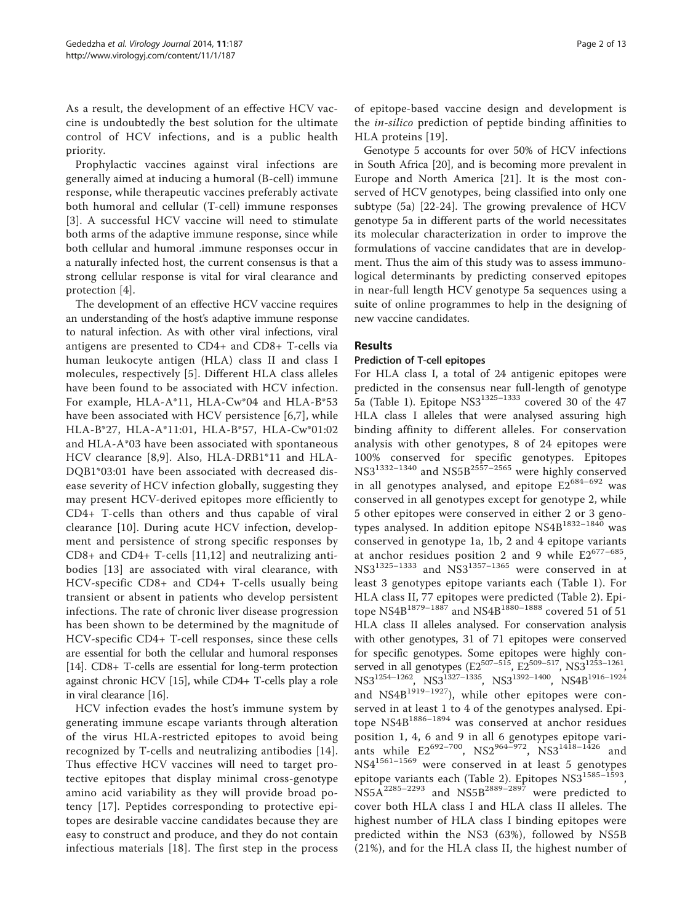As a result, the development of an effective HCV vaccine is undoubtedly the best solution for the ultimate control of HCV infections, and is a public health priority.

Prophylactic vaccines against viral infections are generally aimed at inducing a humoral (B-cell) immune response, while therapeutic vaccines preferably activate both humoral and cellular (T-cell) immune responses [[3](#page-11-0)]. A successful HCV vaccine will need to stimulate both arms of the adaptive immune response, since while both cellular and humoral .immune responses occur in a naturally infected host, the current consensus is that a strong cellular response is vital for viral clearance and protection [[4\]](#page-11-0).

The development of an effective HCV vaccine requires an understanding of the host's adaptive immune response to natural infection. As with other viral infections, viral antigens are presented to CD4+ and CD8+ T-cells via human leukocyte antigen (HLA) class II and class I molecules, respectively [[5\]](#page-11-0). Different HLA class alleles have been found to be associated with HCV infection. For example, HLA-A\*11, HLA-Cw\*04 and HLA-B\*53 have been associated with HCV persistence [[6](#page-11-0),[7\]](#page-11-0), while HLA-B\*27, HLA-A\*11:01, HLA-B\*57, HLA-Cw\*01:02 and HLA-A\*03 have been associated with spontaneous HCV clearance [[8,9](#page-11-0)]. Also, HLA-DRB1\*11 and HLA-DQB1\*03:01 have been associated with decreased disease severity of HCV infection globally, suggesting they may present HCV-derived epitopes more efficiently to CD4+ T-cells than others and thus capable of viral clearance [[10](#page-11-0)]. During acute HCV infection, development and persistence of strong specific responses by CD8+ and CD4+ T-cells [[11](#page-11-0),[12\]](#page-11-0) and neutralizing antibodies [\[13\]](#page-11-0) are associated with viral clearance, with HCV-specific CD8+ and CD4+ T-cells usually being transient or absent in patients who develop persistent infections. The rate of chronic liver disease progression has been shown to be determined by the magnitude of HCV-specific CD4+ T-cell responses, since these cells are essential for both the cellular and humoral responses [[14](#page-11-0)]. CD8+ T-cells are essential for long-term protection against chronic HCV [\[15](#page-11-0)], while CD4+ T-cells play a role in viral clearance [\[16\]](#page-11-0).

HCV infection evades the host's immune system by generating immune escape variants through alteration of the virus HLA-restricted epitopes to avoid being recognized by T-cells and neutralizing antibodies [[14](#page-11-0)]. Thus effective HCV vaccines will need to target protective epitopes that display minimal cross-genotype amino acid variability as they will provide broad potency [\[17\]](#page-11-0). Peptides corresponding to protective epitopes are desirable vaccine candidates because they are easy to construct and produce, and they do not contain infectious materials [[18](#page-11-0)]. The first step in the process

of epitope-based vaccine design and development is the in-silico prediction of peptide binding affinities to HLA proteins [[19](#page-11-0)].

Genotype 5 accounts for over 50% of HCV infections in South Africa [[20\]](#page-11-0), and is becoming more prevalent in Europe and North America [[21\]](#page-11-0). It is the most conserved of HCV genotypes, being classified into only one subtype (5a) [\[22](#page-11-0)-[24](#page-11-0)]. The growing prevalence of HCV genotype 5a in different parts of the world necessitates its molecular characterization in order to improve the formulations of vaccine candidates that are in development. Thus the aim of this study was to assess immunological determinants by predicting conserved epitopes in near-full length HCV genotype 5a sequences using a suite of online programmes to help in the designing of new vaccine candidates.

## Results

#### Prediction of T-cell epitopes

For HLA class I, a total of 24 antigenic epitopes were predicted in the consensus near full-length of genotype 5a (Table [1\)](#page-2-0). Epitope  $NS3^{1325-1333}$  covered 30 of the 47 HLA class I alleles that were analysed assuring high binding affinity to different alleles. For conservation analysis with other genotypes, 8 of 24 epitopes were 100% conserved for specific genotypes. Epitopes NS31332–<sup>1340</sup> and NS5B2557–<sup>2565</sup> were highly conserved in all genotypes analysed, and epitope  $E2^{684-692}$  was conserved in all genotypes except for genotype 2, while 5 other epitopes were conserved in either 2 or 3 genotypes analysed. In addition epitope NS4B<sup>1832-1840</sup> was conserved in genotype 1a, 1b, 2 and 4 epitope variants at anchor residues position 2 and 9 while  $E2^{677-685}$ , NS31325–<sup>1333</sup> and NS31357–<sup>1365</sup> were conserved in at least 3 genotypes epitope variants each (Table [1\)](#page-2-0). For HLA class II, 77 epitopes were predicted (Table [2\)](#page-3-0). Epitope NS4B<sup>1879–1887</sup> and NS4B<sup>1880–1888</sup> covered 51 of 51 HLA class II alleles analysed. For conservation analysis with other genotypes, 31 of 71 epitopes were conserved for specific genotypes. Some epitopes were highly conserved in all genotypes (E2<sup>507–515</sup>, E2<sup>509–517</sup>, NS3<sup>1253–1261</sup> NS31254–1262, NS31327–1335, NS31392–1400, NS4B1916–<sup>1924</sup> and NS4B<sup>1919-1927</sup>), while other epitopes were conserved in at least 1 to 4 of the genotypes analysed. Epitope NS4B<sup>1886-1894</sup> was conserved at anchor residues position 1, 4, 6 and 9 in all 6 genotypes epitope variants while  $E2^{692-700}$ ,  $NS2^{964-972}$ ,  $NS3^{1418-1426}$  and NS41561–<sup>1569</sup> were conserved in at least 5 genotypes epitope variants each (Table [2\)](#page-3-0). Epitopes NS3<sup>1585–1593</sup>, NS5A2285–<sup>2293</sup> and NS5B2889–<sup>2897</sup> were predicted to cover both HLA class I and HLA class II alleles. The highest number of HLA class I binding epitopes were predicted within the NS3 (63%), followed by NS5B (21%), and for the HLA class II, the highest number of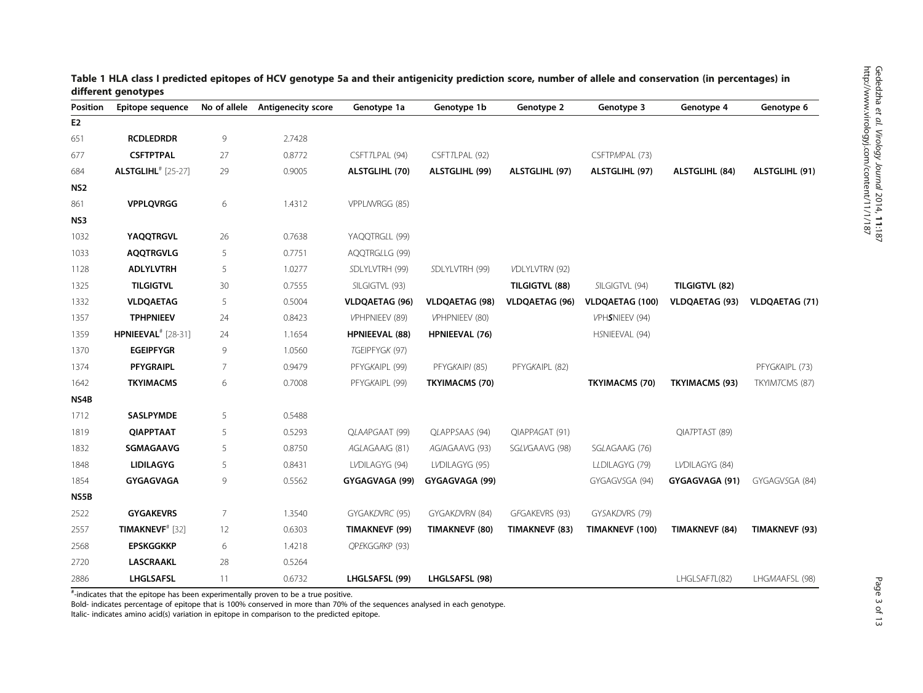| Position        | Epitope sequence                      | No of allele | <b>Antigenecity score</b> | Genotype 1a           | Genotype 1b           | Genotype 2            | Genotype 3             | Genotype 4            | Genotype 6            |
|-----------------|---------------------------------------|--------------|---------------------------|-----------------------|-----------------------|-----------------------|------------------------|-----------------------|-----------------------|
| E <sub>2</sub>  |                                       |              |                           |                       |                       |                       |                        |                       |                       |
| 651             | <b>RCDLEDRDR</b>                      | 9            | 2.7428                    |                       |                       |                       |                        |                       |                       |
| 677             | <b>CSFTPTPAL</b>                      | 27           | 0.8772                    | CSFT7LPAL (94)        | CSFT7LPAL (92)        |                       | CSFTPMPAL (73)         |                       |                       |
| 684             | <b>ALSTGLIHL</b> <sup>#</sup> [25-27] | 29           | 0.9005                    | ALSTGLIHL (70)        | ALSTGLIHL (99)        | ALSTGLIHL (97)        | ALSTGLIHL (97)         | ALSTGLIHL (84)        | ALSTGLIHL (91)        |
| NS <sub>2</sub> |                                       |              |                           |                       |                       |                       |                        |                       |                       |
| 861             | <b>VPPLQVRGG</b>                      | 6            | 1.4312                    | VPPLM/RGG (85)        |                       |                       |                        |                       |                       |
| NS3             |                                       |              |                           |                       |                       |                       |                        |                       |                       |
| 1032            | <b>YAQQTRGVL</b>                      | 26           | 0.7638                    | YAQQTRGLL (99)        |                       |                       |                        |                       |                       |
| 1033            | <b>AQQTRGVLG</b>                      | 5            | 0.7751                    | AQQTRGLLG (99)        |                       |                       |                        |                       |                       |
| 1128            | <b>ADLYLVTRH</b>                      | 5            | 1.0277                    | SDLYLVTRH (99)        | SDLYLVTRH (99)        | VDLYLVTRN (92)        |                        |                       |                       |
| 1325            | <b>TILGIGTVL</b>                      | 30           | 0.7555                    | SILGIGTVL (93)        |                       | TILGIGTVL (88)        | SILGIGTVL (94)         | TILGIGTVL (82)        |                       |
| 1332            | <b>VLDQAETAG</b>                      | 5            | 0.5004                    | <b>VLDQAETAG (96)</b> | <b>VLDQAETAG (98)</b> | <b>VLDQAETAG (96)</b> | <b>VLDQAETAG (100)</b> | <b>VLDQAETAG (93)</b> | <b>VLDQAETAG (71)</b> |
| 1357            | <b>TPHPNIEEV</b>                      | 24           | 0.8423                    | VPHPNIEEV (89)        | VPHPNIEEV (80)        |                       | VPHSNIEEV (94)         |                       |                       |
| 1359            | <b>HPNIEEVAL</b> <sup>#</sup> [28-31] | 24           | 1.1654                    | <b>HPNIEEVAL (88)</b> | <b>HPNIEEVAL (76)</b> |                       | HSNIEEVAL (94)         |                       |                       |
| 1370            | <b>EGEIPFYGR</b>                      | 9            | 1.0560                    | TGEIPFYGK (97)        |                       |                       |                        |                       |                       |
| 1374            | <b>PFYGRAIPL</b>                      | 7            | 0.9479                    | PFYGKAIPL (99)        | PFYGKAIPI (85)        | PFYGKAIPL (82)        |                        |                       | PFYGKAIPL (73)        |
| 1642            | <b>TKYIMACMS</b>                      | 6            | 0.7008                    | PFYGKAIPL (99)        | <b>TKYIMACMS (70)</b> |                       | <b>TKYIMACMS (70)</b>  | <b>TKYIMACMS (93)</b> | TKYIMTCMS (87)        |
| NS4B            |                                       |              |                           |                       |                       |                       |                        |                       |                       |
| 1712            | <b>SASLPYMDE</b>                      | 5            | 0.5488                    |                       |                       |                       |                        |                       |                       |
| 1819            | QIAPPTAAT                             | 5            | 0.5293                    | QLAAPGAAT (99)        | QLAPPSAAS (94)        | QIAPPAGAT (91)        |                        | QIATPTAST (89)        |                       |
| 1832            | SGMAGAAVG                             | 5            | 0.8750                    | AGLAGAAIG (81)        | AGIAGAAVG (93)        | SGLVGAAVG (98)        | SGLAGAAIG (76)         |                       |                       |
| 1848            | <b>LIDILAGYG</b>                      | 5            | 0.8431                    | LVDILAGYG (94)        | LVDILAGYG (95)        |                       | LLDILAGYG (79)         | LVDILAGYG (84)        |                       |
| 1854            | GYGAGVAGA                             | 9            | 0.5562                    | GYGAGVAGA (99)        | GYGAGVAGA (99)        |                       | GYGAGVSGA (94)         | GYGAGVAGA (91)        | GYGAGVSGA (84)        |
| NS5B            |                                       |              |                           |                       |                       |                       |                        |                       |                       |
| 2522            | <b>GYGAKEVRS</b>                      | 7            | 1.3540                    | GYGAKDVRC (95)        | GYGAKDVRN (84)        | GFGAKEVRS (93)        | GYSAKDVRS (79)         |                       |                       |
| 2557            | <b>TIMAKNEVF<sup>#</sup></b> [32]     | 12           | 0.6303                    | TIMAKNEVF (99)        | TIMAKNEVF (80)        | TIMAKNEVF (83)        | TIMAKNEVF (100)        | <b>TIMAKNEVF (84)</b> | TIMAKNEVF (93)        |
| 2568            | <b>EPSKGGKKP</b>                      | 6            | 1.4218                    | QPEKGGRKP (93)        |                       |                       |                        |                       |                       |
| 2720            | <b>LASCRAAKL</b>                      | 28           | 0.5264                    |                       |                       |                       |                        |                       |                       |
| 2886            | LHGLSAFSL                             | 11           | 0.6732                    | LHGLSAFSL (99)        | LHGLSAFSL (98)        |                       |                        | LHGLSAFTL(82)         | LHGMAAFSL (98)        |

<span id="page-2-0"></span>

| Table 1 HLA class I predicted epitopes of HCV genotype 5a and their antigenicity prediction score, number of allele and conservation (in percentages) in |  |  |
|----------------------------------------------------------------------------------------------------------------------------------------------------------|--|--|
| different genotypes                                                                                                                                      |  |  |

# -indicates that the epitope has been experimentally proven to be a true positive.

Bold- indicates percentage of epitope that is 100% conserved in more than 70% of the sequences analysed in each genotype.

Italic- indicates amino acid(s) variation in epitope in comparison to the predicted epitope.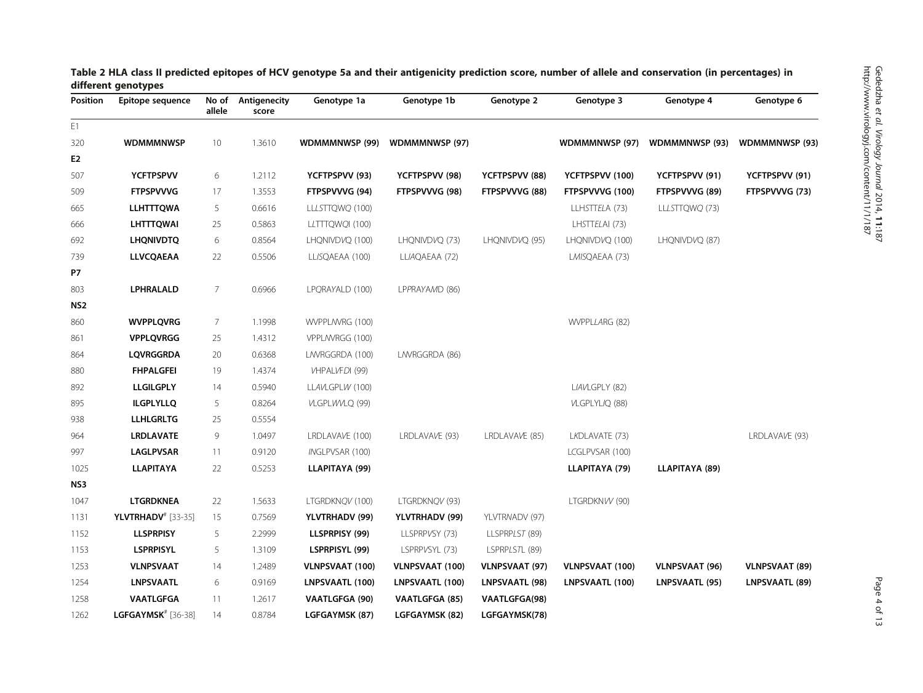| Position        | Epitope sequence               | No of<br>allele | Antigenecity<br>score | Genotype 1a           | Genotype 1b           | Genotype 2            | Genotype 3             | Genotype 4            | Genotype 6            |
|-----------------|--------------------------------|-----------------|-----------------------|-----------------------|-----------------------|-----------------------|------------------------|-----------------------|-----------------------|
| E1              |                                |                 |                       |                       |                       |                       |                        |                       |                       |
| 320             | <b>WDMMMNWSP</b>               | 10              | 1.3610                | <b>WDMMMNWSP (99)</b> | WDMMMNWSP (97)        |                       | WDMMMNWSP (97)         | <b>WDMMMNWSP (93)</b> | <b>WDMMMNWSP (93)</b> |
| E <sub>2</sub>  |                                |                 |                       |                       |                       |                       |                        |                       |                       |
| 507             | <b>YCFTPSPVV</b>               | 6               | 1.2112                | YCFTPSPVV (93)        | YCFTPSPVV (98)        | YCFTPSPVV (88)        | YCFTPSPVV (100)        | YCFTPSPVV (91)        | YCFTPSPVV (91)        |
| 509             | <b>FTPSPVVVG</b>               | 17              | 1.3553                | FTPSPVVVG (94)        | FTPSPVVVG (98)        | FTPSPVVVG (88)        | FTPSPVVVG (100)        | FTPSPVVVG (89)        | FTPSPVVVG (73)        |
| 665             | <b>LLHTTTQWA</b>               | 5               | 0.6616                | LLLSTTQWQ (100)       |                       |                       | LLHSTTELA (73)         | LLLSTTQWQ (73)        |                       |
| 666             | <b>LHTTTQWAI</b>               | 25              | 0.5863                | LLTTTQWQI (100)       |                       |                       | LHSTTELAI (73)         |                       |                       |
| 692             | <b>LHQNIVDTQ</b>               | 6               | 0.8564                | LHQNIVDVQ (100)       | LHQNIVDVQ (73)        | LHQNIVDVQ (95)        | LHQNIVDVQ (100)        | LHQNIVDVQ (87)        |                       |
| 739             | LLVCQAEAA                      | 22              | 0.5506                | LLISQAEAA (100)       | LLIAQAEAA (72)        |                       | LMISQAEAA (73)         |                       |                       |
| <b>P7</b>       |                                |                 |                       |                       |                       |                       |                        |                       |                       |
| 803             | LPHRALALD                      | 7               | 0.6966                | LPQRAYALD (100)       | LPPRAYAMD (86)        |                       |                        |                       |                       |
| NS <sub>2</sub> |                                |                 |                       |                       |                       |                       |                        |                       |                       |
| 860             | <b>WVPPLQVRG</b>               | 7               | 1.1998                | WVPPL/WRG (100)       |                       |                       | WVPPLLARG (82)         |                       |                       |
| 861             | <b>VPPLQVRGG</b>               | 25              | 1.4312                | VPPL/WRGG (100)       |                       |                       |                        |                       |                       |
| 864             | <b>LQVRGGRDA</b>               | 20              | 0.6368                | LAVRGGRDA (100)       | LNVRGGRDA (86)        |                       |                        |                       |                       |
| 880             | <b>FHPALGFEI</b>               | 19              | 1.4374                | VHPALVFDI (99)        |                       |                       |                        |                       |                       |
| 892             | <b>LLGILGPLY</b>               | 14              | 0.5940                | LLAVLGPLW (100)       |                       |                       | LIAVLGPLY (82)         |                       |                       |
| 895             | <b>ILGPLYLLQ</b>               | 5               | 0.8264                | VLGPLWVLQ (99)        |                       |                       | VLGPLYLIQ (88)         |                       |                       |
| 938             | <b>LLHLGRLTG</b>               | 25              | 0.5554                |                       |                       |                       |                        |                       |                       |
| 964             | <b>LRDLAVATE</b>               | 9               | 1.0497                | LRDLAVAVE (100)       | LRDLAVAVE (93)        | LRDLAVAVE (85)        | LKDLAVATE (73)         |                       | LRDLAVAVE (93)        |
| 997             | LAGLPVSAR                      | 11              | 0.9120                | INGLPVSAR (100)       |                       |                       | LCGLPVSAR (100)        |                       |                       |
| 1025            | <b>LLAPITAYA</b>               | 22              | 0.5253                | LLAPITAYA (99)        |                       |                       | LLAPITAYA (79)         | LLAPITAYA (89)        |                       |
| NS3             |                                |                 |                       |                       |                       |                       |                        |                       |                       |
| 1047            | <b>LTGRDKNEA</b>               | 22              | 1.5633                | LTGRDKNQV (100)       | LTGRDKNQV (93)        |                       | LTGRDKNVV (90)         |                       |                       |
| 1131            | <b>YLVTRHADV</b> # [33-35]     | 15              | 0.7569                | YLVTRHADV (99)        | YLVTRHADV (99)        | YLVTRNADV (97)        |                        |                       |                       |
| 1152            | <b>LLSPRPISY</b>               | 5               | 2.2999                | LLSPRPISY (99)        | LLSPRPVSY (73)        | LLSPRPLST (89)        |                        |                       |                       |
| 1153            | <b>LSPRPISYL</b>               | 5               | 1.3109                | LSPRPISYL (99)        | LSPRPVSYL (73)        | LSPRPLSTL (89)        |                        |                       |                       |
| 1253            | <b>VLNPSVAAT</b>               | 14              | 1.2489                | VLNPSVAAT (100)       | VLNPSVAAT (100)       | <b>VLNPSVAAT (97)</b> | <b>VLNPSVAAT (100)</b> | <b>VLNPSVAAT (96)</b> | <b>VLNPSVAAT (89)</b> |
| 1254            | <b>LNPSVAATL</b>               | 6               | 0.9169                | LNPSVAATL (100)       | LNPSVAATL (100)       | LNPSVAATL (98)        | LNPSVAATL (100)        | LNPSVAATL (95)        | LNPSVAATL (89)        |
| 1258            | VAATLGFGA                      | 11              | 1.2617                | <b>VAATLGFGA (90)</b> | <b>VAATLGFGA (85)</b> | <b>VAATLGFGA(98)</b>  |                        |                       |                       |
| 1262            | LGFGAYMSK <sup>#</sup> [36-38] | 14              | 0.8784                | LGFGAYMSK (87)        | LGFGAYMSK (82)        | LGFGAYMSK(78)         |                        |                       |                       |

<span id="page-3-0"></span>

| Table 2 HLA class II predicted epitopes of HCV genotype 5a and their antigenicity prediction score, number of allele and conservation (in percentages) in |  |  |
|-----------------------------------------------------------------------------------------------------------------------------------------------------------|--|--|
| different genotypes                                                                                                                                       |  |  |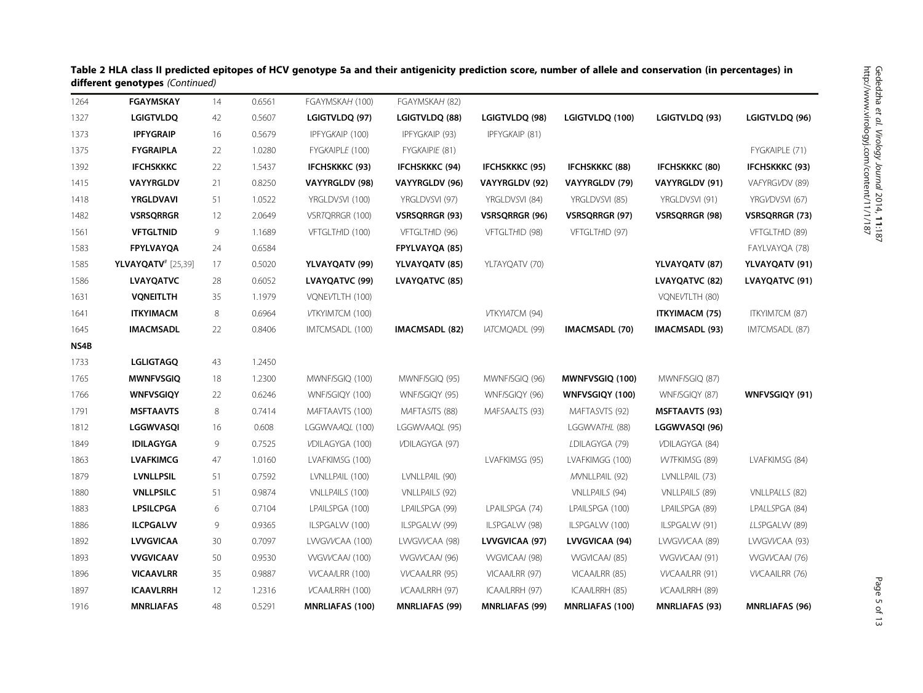|      | amerent genotypes (commuta) |    |        |                        |                       |                       |                        |                       |                       |
|------|-----------------------------|----|--------|------------------------|-----------------------|-----------------------|------------------------|-----------------------|-----------------------|
| 1264 | <b>FGAYMSKAY</b>            | 14 | 0.6561 | FGAYMSKAH (100)        | FGAYMSKAH (82)        |                       |                        |                       |                       |
| 1327 | <b>LGIGTVLDQ</b>            | 42 | 0.5607 | LGIGTVLDQ (97)         | LGIGTVLDQ (88)        | LGIGTVLDQ (98)        | LGIGTVLDQ (100)        | LGIGTVLDQ (93)        | LGIGTVLDQ (96)        |
| 1373 | <b>IPFYGRAIP</b>            | 16 | 0.5679 | IPFYGKAIP (100)        | IPFYGKAIP (93)        | IPFYGKAIP (81)        |                        |                       |                       |
| 1375 | <b>FYGRAIPLA</b>            | 22 | 1.0280 | FYGKAIPLE (100)        | FYGKAIPIE (81)        |                       |                        |                       | FYGKAIPLE (71)        |
| 1392 | <b>IFCHSKKKC</b>            | 22 | 1.5437 | <b>IFCHSKKKC (93)</b>  | <b>IFCHSKKKC (94)</b> | <b>IFCHSKKKC (95)</b> | <b>IFCHSKKKC (88)</b>  | <b>IFCHSKKKC (80)</b> | <b>IFCHSKKKC (93)</b> |
| 1415 | <b>VAYYRGLDV</b>            | 21 | 0.8250 | VAYYRGLDV (98)         | VAYYRGLDV (96)        | VAYYRGLDV (92)        | VAYYRGLDV (79)         | VAYYRGLDV (91)        | VAFYRGVDV (89)        |
| 1418 | <b>YRGLDVAVI</b>            | 51 | 1.0522 | YRGLDVSVI (100)        | YRGLDVSVI (97)        | YRGLDVSVI (84)        | YRGLDVSVI (85)         | YRGLDVSVI (91)        | YRGVDVSVI (67)        |
| 1482 | <b>VSRSQRRGR</b>            | 12 | 2.0649 | VSRTQRRGR (100)        | VSRSQRRGR (93)        | VSRSQRRGR (96)        | VSRSQRRGR (97)         | <b>VSRSQRRGR (98)</b> | VSRSQRRGR (73)        |
| 1561 | <b>VFTGLTNID</b>            | 9  | 1.1689 | VFTGLTHID (100)        | VFTGLTHID (96)        | VFTGLTHID (98)        | VFTGLTHID (97)         |                       | VFTGLTHID (89)        |
| 1583 | <b>FPYLVAYQA</b>            | 24 | 0.6584 |                        | FPYLVAYQA (85)        |                       |                        |                       | FAYLVAYQA (78)        |
| 1585 | <b>YLVAYQATV</b> # [25,39]  | 17 | 0.5020 | YLVAYQATV (99)         | YLVAYQATV (85)        | YLTAYQATV (70)        |                        | YLVAYQATV (87)        | YLVAYQATV (91)        |
| 1586 | <b>LVAYQATVC</b>            | 28 | 0.6052 | LVAYQATVC (99)         | LVAYQATVC (85)        |                       |                        | LVAYQATVC (82)        | LVAYQATVC (91)        |
| 1631 | <b>VONEITLTH</b>            | 35 | 1.1979 | VQNEVTLTH (100)        |                       |                       |                        | VQNEVTLTH (80)        |                       |
| 1641 | <b>ITKYIMACM</b>            | 8  | 0.6964 | VTKYIMTCM (100)        |                       | VTKYIATCM (94)        |                        | <b>ITKYIMACM (75)</b> | ITKYIMTCM (87)        |
| 1645 | <b>IMACMSADL</b>            | 22 | 0.8406 | IMTCMSADL (100)        | <b>IMACMSADL (82)</b> | IATCMQADL (99)        | <b>IMACMSADL (70)</b>  | IMACMSADL (93)        | IMTCMSADL (87)        |
| NS4B |                             |    |        |                        |                       |                       |                        |                       |                       |
| 1733 | <b>LGLIGTAGQ</b>            | 43 | 1.2450 |                        |                       |                       |                        |                       |                       |
| 1765 | <b>MWNFVSGIQ</b>            | 18 | 1.2300 | MWNF/SGIQ (100)        | MWNF/SGIQ (95)        | MWNF/SGIQ (96)        | MWNFVSGIQ (100)        | MWNF/SGIQ (87)        |                       |
| 1766 | <b>WNFVSGIQY</b>            | 22 | 0.6246 | WNF/SGIQY (100)        | WNF/SGIQY (95)        | WNF/SGIQY (96)        | WNFVSGIQY (100)        | WNF/SGIQY (87)        | WNFVSGIQY (91)        |
| 1791 | <b>MSFTAAVTS</b>            | 8  | 0.7414 | MAFTAAVTS (100)        | MAFTASITS (88)        | MAFSAALTS (93)        | MAFTASVTS (92)         | <b>MSFTAAVTS (93)</b> |                       |
| 1812 | LGGWVASQI                   | 16 | 0.608  | LGGWVAAQL (100)        | LGGWVAAQL (95)        |                       | LGGWVATHL (88)         | LGGWVASQI (96)        |                       |
| 1849 | <b>IDILAGYGA</b>            | 9  | 0.7525 | VDILAGYGA (100)        | VDILAGYGA (97)        |                       | LDILAGYGA (79)         | VDILAGYGA (84)        |                       |
| 1863 | <b>LVAFKIMCG</b>            | 47 | 1.0160 | LVAFKIMSG (100)        |                       | LVAFKIMSG (95)        | LVAFKIMGG (100)        | WTFKIMSG (89)         | LVAFKIMSG (84)        |
| 1879 | <b>LVNLLPSIL</b>            | 51 | 0.7592 | LVNLLPAIL (100)        | LVNLLPAIL (90)        |                       | MVNLLPAIL (92)         | LVNLLPAIL (73)        |                       |
| 1880 | <b>VNLLPSILC</b>            | 51 | 0.9874 | VNLLPAILS (100)        | VNLLPAILS (92)        |                       | VNLLPAILS (94)         | VNLLPAILS (89)        | VNLLPALLS (82)        |
| 1883 | <b>LPSILCPGA</b>            | 6  | 0.7104 | LPAILSPGA (100)        | LPAILSPGA (99)        | LPAILSPGA (74)        | LPAILSPGA (100)        | LPAILSPGA (89)        | LPALLSPGA (84)        |
| 1886 | <b>ILCPGALVV</b>            | 9  | 0.9365 | ILSPGALW (100)         | ILSPGALW (99)         | ILSPGALW (98)         | ILSPGALW (100)         | ILSPGALW (91)         | LLSPGALW (89)         |
| 1892 | <b>LVVGVICAA</b>            | 30 | 0.7097 | LWGVVCAA (100)         | LWGVVCAA (98)         | LVVGVICAA (97)        | LVVGVICAA (94)         | LWGVVCAA (89)         | LWGVVCAA (93)         |
| 1893 | VVGVICAAV                   | 50 | 0.9530 | WGVVCAAI (100)         | WGVVCAAI (96)         | WGVICAAI (98)         | WGVICAAI (85)          | WGVVCAAI (91)         | WGVVCAAI (76)         |
| 1896 | <b>VICAAVLRR</b>            | 35 | 0.9887 | VVCAA/LRR (100)        | VVCAA/LRR (95)        | VICAA/LRR (97)        | VICAA/LRR (85)         | VVCAA/LRR (91)        | <b>VVCAAILRR (76)</b> |
| 1897 | <b>ICAAVLRRH</b>            | 12 | 1.2316 | VCAA/LRRH (100)        | VCAA/LRRH (97)        | ICAA/LRRH (97)        | ICAA/LRRH (85)         | VCAA/LRRH (89)        |                       |
| 1916 | <b>MNRLIAFAS</b>            | 48 | 0.5291 | <b>MNRLIAFAS (100)</b> | <b>MNRLIAFAS (99)</b> | <b>MNRLIAFAS (99)</b> | <b>MNRLIAFAS (100)</b> | <b>MNRLIAFAS (93)</b> | <b>MNRLIAFAS (96)</b> |

Table 2 HLA class II predicted epitopes of HCV genotype 5a and their antigenicity prediction score, number of allele and conservation (in percentages) in different genotypes (Continued)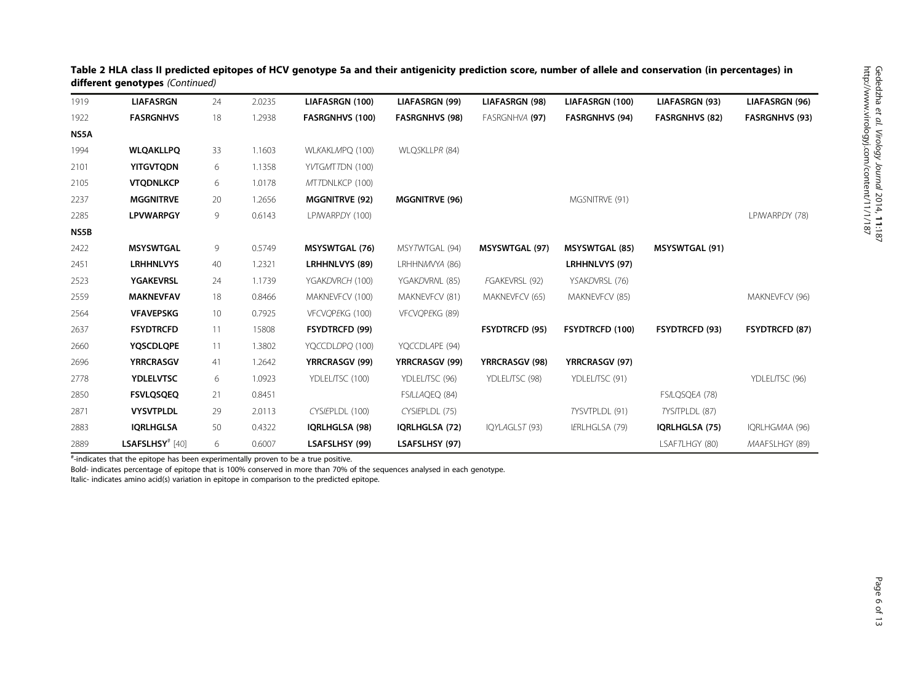| 1919 | <b>LIAFASRGN</b>            | 24 | 2.0235 | LIAFASRGN (100)        | LIAFASRGN (99)        | LIAFASRGN (98)        | LIAFASRGN (100)        | LIAFASRGN (93)        | LIAFASRGN (96)        |
|------|-----------------------------|----|--------|------------------------|-----------------------|-----------------------|------------------------|-----------------------|-----------------------|
| 1922 | <b>FASRGNHVS</b>            | 18 | 1.2938 | <b>FASRGNHVS (100)</b> | <b>FASRGNHVS (98)</b> | FASRGNHVA (97)        | <b>FASRGNHVS (94)</b>  | <b>FASRGNHVS (82)</b> | <b>FASRGNHVS (93)</b> |
| NS5A |                             |    |        |                        |                       |                       |                        |                       |                       |
| 1994 | <b>WLQAKLLPQ</b>            | 33 | 1.1603 | WLKAKLMPQ (100)        | WLQSKLLPR (84)        |                       |                        |                       |                       |
| 2101 | <b>YITGVTQDN</b>            | 6  | 1.1358 | YVTGMTTDN (100)        |                       |                       |                        |                       |                       |
| 2105 | <b>VTQDNLKCP</b>            | 6  | 1.0178 | MTTDNLKCP (100)        |                       |                       |                        |                       |                       |
| 2237 | <b>MGGNITRVE</b>            | 20 | 1.2656 | <b>MGGNITRVE (92)</b>  | <b>MGGNITRVE (96)</b> |                       | MGSNITRVE (91)         |                       |                       |
| 2285 | <b>LPVWARPGY</b>            | 9  | 0.6143 | LP/WARPDY (100)        |                       |                       |                        |                       | LP/WARPDY (78)        |
| NS5B |                             |    |        |                        |                       |                       |                        |                       |                       |
| 2422 | <b>MSYSWTGAL</b>            | 9  | 0.5749 | <b>MSYSWTGAL (76)</b>  | MSY7WTGAL (94)        | <b>MSYSWTGAL (97)</b> | <b>MSYSWTGAL (85)</b>  | <b>MSYSWTGAL (91)</b> |                       |
| 2451 | <b>LRHHNLVYS</b>            | 40 | 1.2321 | <b>LRHHNLVYS (89)</b>  | LRHHNMVYA (86)        |                       | LRHHNLVYS (97)         |                       |                       |
| 2523 | <b>YGAKEVRSL</b>            | 24 | 1.1739 | YGAKDVRCH (100)        | YGAKDVRNL (85)        | FGAKEVRSL (92)        | YSAKDVRSL (76)         |                       |                       |
| 2559 | <b>MAKNEVFAV</b>            | 18 | 0.8466 | MAKNEVFCV (100)        | MAKNEVFCV (81)        | MAKNEVFCV (65)        | MAKNEVFCV (85)         |                       | MAKNEVFCV (96)        |
| 2564 | <b>VFAVEPSKG</b>            | 10 | 0.7925 | VFCVOPEKG (100)        | VFCVQPEKG (89)        |                       |                        |                       |                       |
| 2637 | <b>FSYDTRCFD</b>            | 11 | 15808  | <b>FSYDTRCFD (99)</b>  |                       | <b>FSYDTRCFD (95)</b> | <b>FSYDTRCFD (100)</b> | <b>FSYDTRCFD (93)</b> | <b>FSYDTRCFD (87)</b> |
| 2660 | <b>YQSCDLQPE</b>            | 11 | 1.3802 | YQCCDLDPQ (100)        | YQCCDLAPE (94)        |                       |                        |                       |                       |
| 2696 | <b>YRRCRASGV</b>            | 41 | 1.2642 | <b>YRRCRASGV (99)</b>  | <b>YRRCRASGV (99)</b> | <b>YRRCRASGV (98)</b> | <b>YRRCRASGV (97)</b>  |                       |                       |
| 2778 | <b>YDLELVTSC</b>            | 6  | 1.0923 | YDLEL/TSC (100)        | YDLEL/TSC (96)        | YDLEL/TSC (98)        | YDLELITSC (91)         |                       | YDLEL/TSC (96)        |
| 2850 | <b>FSVLQSQEQ</b>            | 21 | 0.8451 |                        | FS/LLAQEQ (84)        |                       |                        | FS/LQSQEA (78)        |                       |
| 2871 | <b>VYSVTPLDL</b>            | 29 | 2.0113 | CYSIEPLDL (100)        | CYSIEPLDL (75)        |                       | TYSVTPLDL (91)         | TYS/TPLDL (87)        |                       |
| 2883 | <b>IQRLHGLSA</b>            | 50 | 0.4322 | IQRLHGLSA (98)         | IQRLHGLSA (72)        | IQYLAGLST (93)        | IERLHGLSA (79)         | IQRLHGLSA (75)        | IQRLHGMAA (96)        |
| 2889 | LSAFSLHSY <sup>#</sup> [40] | 6  | 0.6007 | LSAFSLHSY (99)         | LSAFSLHSY (97)        |                       |                        | LSAFTLHGY (80)        | MAAFSLHGY (89)        |

Table 2 HLA class II predicted epitopes of HCV genotype 5a and their antigenicity prediction score, number of allele and conservation (in percentages) in different genotypes (Continued)

# -indicates that the epitope has been experimentally proven to be a true positive.

Bold- indicates percentage of epitope that is 100% conserved in more than 70% of the sequences analysed in each genotype.

Italic- indicates amino acid(s) variation in epitope in comparison to the predicted epitope.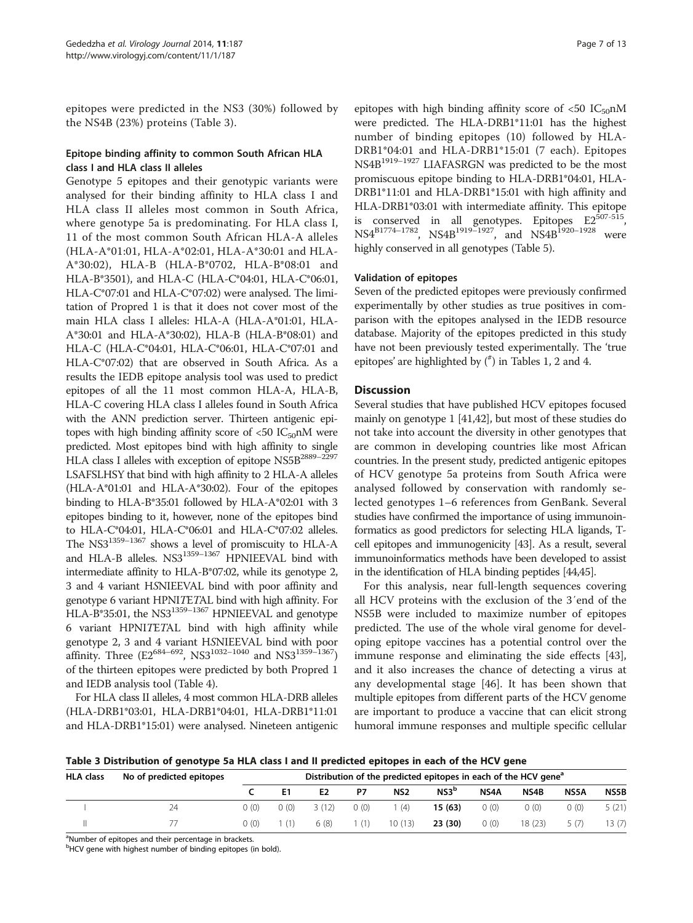epitopes were predicted in the NS3 (30%) followed by the NS4B (23%) proteins (Table 3).

# Epitope binding affinity to common South African HLA class I and HLA class II alleles

Genotype 5 epitopes and their genotypic variants were analysed for their binding affinity to HLA class I and HLA class II alleles most common in South Africa, where genotype 5a is predominating. For HLA class I, 11 of the most common South African HLA-A alleles (HLA-A\*01:01, HLA-A\*02:01, HLA-A\*30:01 and HLA-A\*30:02), HLA-B (HLA-B\*0702, HLA-B\*08:01 and HLA-B\*3501), and HLA-C (HLA-C\*04:01, HLA-C\*06:01, HLA-C\*07:01 and HLA-C\*07:02) were analysed. The limitation of Propred 1 is that it does not cover most of the main HLA class I alleles: HLA-A (HLA-A\*01:01, HLA-A\*30:01 and HLA-A\*30:02), HLA-B (HLA-B\*08:01) and HLA-C (HLA-C\*04:01, HLA-C\*06:01, HLA-C\*07:01 and HLA-C\*07:02) that are observed in South Africa. As a results the IEDB epitope analysis tool was used to predict epitopes of all the 11 most common HLA-A, HLA-B, HLA-C covering HLA class I alleles found in South Africa with the ANN prediction server. Thirteen antigenic epitopes with high binding affinity score of  $<50$  IC<sub>50</sub>nM were predicted. Most epitopes bind with high affinity to single HLA class I alleles with exception of epitope NS5B<sup>2889–2297</sup> LSAFSLHSY that bind with high affinity to 2 HLA-A alleles (HLA-A\*01:01 and HLA-A\*30:02). Four of the epitopes binding to HLA-B\*35:01 followed by HLA-A\*02:01 with 3 epitopes binding to it, however, none of the epitopes bind to HLA-C\*04:01, HLA-C\*06:01 and HLA-C\*07:02 alleles. The NS31359–<sup>1367</sup> shows a level of promiscuity to HLA-A and HLA-B alleles. NS3<sup>1359-1367</sup> HPNIEEVAL bind with intermediate affinity to HLA-B\*07:02, while its genotype 2, 3 and 4 variant HSNIEEVAL bind with poor affinity and genotype 6 variant HPNITETAL bind with high affinity. For HLA-B\*35:01, the NS3<sup>1359-1367</sup> HPNIEEVAL and genotype 6 variant HPNITETAL bind with high affinity while genotype 2, 3 and 4 variant HSNIEEVAL bind with poor affinity. Three (E2<sup>684–692</sup>, NS3<sup>1032–1040</sup> and NS3<sup>1359–1367</sup>) of the thirteen epitopes were predicted by both Propred 1 and IEDB analysis tool (Table [4](#page-7-0)).

For HLA class II alleles, 4 most common HLA-DRB alleles (HLA-DRB1\*03:01, HLA-DRB1\*04:01, HLA-DRB1\*11:01 and HLA-DRB1\*15:01) were analysed. Nineteen antigenic

epitopes with high binding affinity score of  $\langle 50 \text{ IC}_{50} \text{nM} \rangle$ were predicted. The HLA-DRB1\*11:01 has the highest number of binding epitopes (10) followed by HLA-DRB1\*04:01 and HLA-DRB1\*15:01 (7 each). Epitopes NS4B1919–<sup>1927</sup> LIAFASRGN was predicted to be the most promiscuous epitope binding to HLA-DRB1\*04:01, HLA-DRB1\*11:01 and HLA-DRB1\*15:01 with high affinity and HLA-DRB1\*03:01 with intermediate affinity. This epitope conserved in all genotypes. Epitopes  $E2^{507-515}$ , NS4<sup>B1774–1782</sup>, NS4B<sup>1919–1927</sup>, and NS4B<sup>1920–1928</sup> were highly conserved in all genotypes (Table [5\)](#page-9-0).

#### Validation of epitopes

Seven of the predicted epitopes were previously confirmed experimentally by other studies as true positives in comparison with the epitopes analysed in the IEDB resource database. Majority of the epitopes predicted in this study have not been previously tested experimentally. The 'true epitopes' are highlighted by  $($ <sup>#</sup> $)$  in Tables [1,](#page-2-0) [2](#page-3-0) and [4](#page-7-0).

## **Discussion**

Several studies that have published HCV epitopes focused mainly on genotype 1 [[41,42\]](#page-12-0), but most of these studies do not take into account the diversity in other genotypes that are common in developing countries like most African countries. In the present study, predicted antigenic epitopes of HCV genotype 5a proteins from South Africa were analysed followed by conservation with randomly selected genotypes 1–6 references from GenBank. Several studies have confirmed the importance of using immunoinformatics as good predictors for selecting HLA ligands, Tcell epitopes and immunogenicity [\[43\]](#page-12-0). As a result, several immunoinformatics methods have been developed to assist in the identification of HLA binding peptides [[44,45\]](#page-12-0).

For this analysis, near full-length sequences covering all HCV proteins with the exclusion of the 3′end of the NS5B were included to maximize number of epitopes predicted. The use of the whole viral genome for developing epitope vaccines has a potential control over the immune response and eliminating the side effects [\[43](#page-12-0)], and it also increases the chance of detecting a virus at any developmental stage [[46\]](#page-12-0). It has been shown that multiple epitopes from different parts of the HCV genome are important to produce a vaccine that can elicit strong humoral immune responses and multiple specific cellular

Table 3 Distribution of genotype 5a HLA class I and II predicted epitopes in each of the HCV gene

| <b>HLA class</b> | No of predicted epitopes | Distribution of the predicted epitopes in each of the HCV gene <sup>a</sup> |        |                |      |                 |                  |       |        |      |       |
|------------------|--------------------------|-----------------------------------------------------------------------------|--------|----------------|------|-----------------|------------------|-------|--------|------|-------|
|                  |                          |                                                                             | E1     | E <sub>2</sub> | P7   | NS <sub>2</sub> | NS3 <sup>b</sup> | NS4A  | NS4B   | NS5A | NS5B  |
|                  | 24                       | (0)(0)                                                                      | (0)(0) | 3 (12)         | 0(0) | (4)             | 15(63)           | 0 (0) | 0 (0)  | (0)  | 5(21) |
|                  |                          | (0)                                                                         | 1(1)   | 6(8)           | 1(1) | 10(13)          | 23 (30)          | 0(0)  | 18(23) | 5(7) | 13(7) |

<sup>a</sup>Number of epitopes and their percentage in brackets.

<sup>b</sup>HCV gene with highest number of binding epitopes (in bold).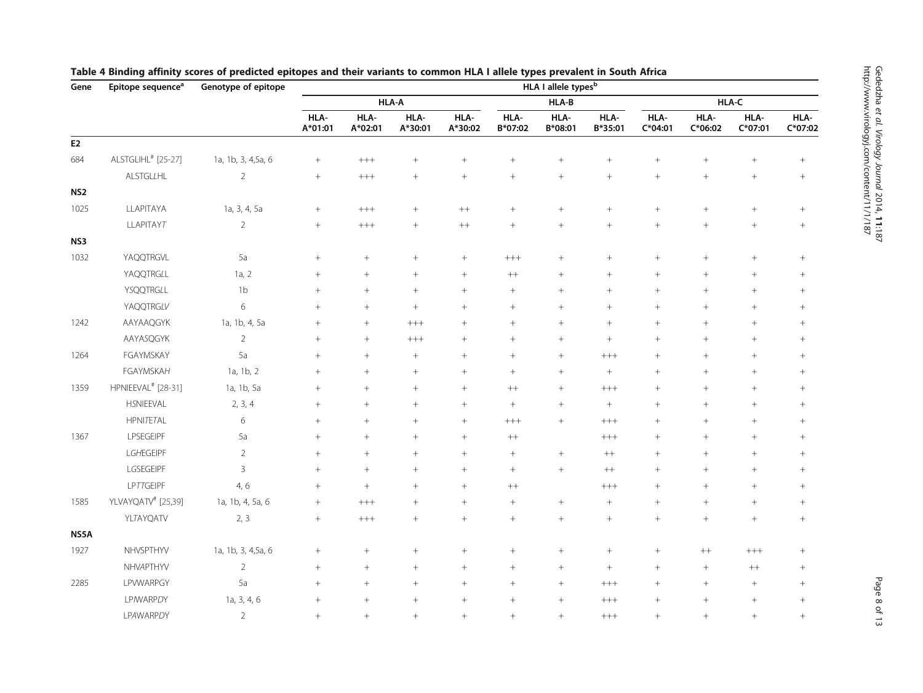| Gene            | Epitope sequence <sup>a</sup>  | Genotype of epitope |                  | HLA I allele types <sup>b</sup> |                  |                 |                 |                 |                  |                   |                   |                   |                   |
|-----------------|--------------------------------|---------------------|------------------|---------------------------------|------------------|-----------------|-----------------|-----------------|------------------|-------------------|-------------------|-------------------|-------------------|
|                 |                                |                     |                  |                                 | HLA-A            |                 |                 | HLA-B           |                  |                   |                   | HLA-C             |                   |
|                 |                                |                     | HLA-<br>A*01:01  | HLA-<br>A*02:01                 | HLA-<br>A*30:01  | HLA-<br>A*30:02 | HLA-<br>B*07:02 | HLA-<br>B*08:01 | HLA-<br>B*35:01  | HLA-<br>$C*04:01$ | HLA-<br>$C*06:02$ | HLA-<br>$C*07:01$ | HLA-<br>$C*07:02$ |
| ${\sf E2}$      |                                |                     |                  |                                 |                  |                 |                 |                 |                  |                   |                   |                   |                   |
| 684             | ALSTGLIHL <sup>#</sup> [25-27] | 1a, 1b, 3, 4,5a, 6  | $+$              | $^{+++}$                        | $\boldsymbol{+}$ | $+$             | $^{+}$          | $+$             | $\! +$           | $+$               | $^{+}$            | $+$               | $+$               |
|                 | ALSTGLLHL                      | $\overline{2}$      | $\boldsymbol{+}$ | $^{+++}$                        | $\boldsymbol{+}$ | $\! +$          |                 | $^{+}$          |                  | $^{+}$            | $+$               | $\! + \!\!\!\!$   | $+$               |
| NS <sub>2</sub> |                                |                     |                  |                                 |                  |                 |                 |                 |                  |                   |                   |                   |                   |
| 1025            | LLAPITAYA                      | 1a, 3, 4, 5a        | $+$              | $^{+++}$                        |                  | $++$            | $+$             | $+$             | $^{+}$           | $^{+}$            | $^{+}$            | $\! + \!\!\!\!$   | $+$               |
|                 | <b>LLAPITAYT</b>               | $\sqrt{2}$          | $^+$             | $^{+++}$                        |                  | $^{++}$         |                 | $^{+}$          | $\boldsymbol{+}$ | $\boldsymbol{+}$  | $+$               | $\! +$            | $+$               |
| NS3             |                                |                     |                  |                                 |                  |                 |                 |                 |                  |                   |                   |                   |                   |
| 1032            | YAQQTRGVL                      | 5a                  | $^{+}$           | $^{+}$                          |                  | $\! +$          | $^{+++}$        | $+$             | $\! +$           | $^{+}$            | $^{+}$            | $^{+}$            | $+$               |
|                 | YAQQTRGLL                      | 1a, 2               | $^+$             |                                 |                  | $\! +$          | $++$            |                 |                  |                   | $+$               | $\! + \!\!\!\!$   | $+$               |
|                 | YSQQTRGLL                      | 1 <sub>b</sub>      | $^{+}$           | $^{+}$                          | $\boldsymbol{+}$ | $\! +$          |                 | $+$             | $+$              | $^{+}$            | $^{+}$            | $+$               |                   |
|                 | YAQQTRGLV                      | 6                   | $^{+}$           | $^{+}$                          | $^{+}$           | $^{+}$          | $^{+}$          |                 | $^{+}$           | $^{+}$            | $^{+}$            | $^{+}$            | $^{+}$            |
| 1242            | AAYAAQGYK                      | 1a, 1b, 4, 5a       | $^{+}$           | $+$                             | $++++$           | $^{+}$          | $+$             | $+$             | $+$              | $+$               | $+$               | $^{+}$            | $+$               |
|                 | AAYASQGYK                      | $\overline{2}$      | $^{+}$           | $^{+}$                          | $++++$           | $^{+}$          | $+$             | $+$             | $+$              | $^{+}$            | $^{+}$            | $\! + \!\!\!\!$   | $+$               |
| 1264            | FGAYMSKAY                      | 5a                  | $^{+}$           | $^{+}$                          | $^{+}$           | $^{+}$          | $+$             | $+$             | $^{+++}$         | $+$               | $^{+}$            | $^{+}$            | $+$               |
|                 | <b>FGAYMSKAH</b>               | 1a, 1b, 2           | $^{+}$           | $^{+}$                          | $\! +$           | $\! +$          | $+$             | $+$             | $\! +$           | $+$               | $^{+}$            | $^{+}$            | $+$               |
| 1359            | HPNIEEVAL <sup>#</sup> [28-31] | 1a, 1b, 5a          | $^{+}$           | $^{+}$                          | $^{+}$           | $^{+}$          | $++$            |                 | $^{+++}$         | $^{+}$            | $^{+}$            | $^{+}$            | $+$               |
|                 | HSNIEEVAL                      | 2, 3, 4             | $^{+}$           | $^{+}$                          | $^{+}$           | $\! +$          | $\! + \!\!\!\!$ | $+$             | $\! +$           | $+$               | $^{+}$            | $^{+}$            | $\! + \!\!\!\!$   |
|                 | <b>HPNITETAL</b>               | 6                   | $^{+}$           | $^{+}$                          | $^{+}$           | $^{+}$          | $^{+++}$        | $+$             | $+++$            | $^{+}$            | $^{+}$            | $^{+}$            | $+$               |
| 1367            | LPSEGEIPF                      | 5a                  | $^{+}$           | $^{+}$                          | $\boldsymbol{+}$ | $^{+}$          | $^{++}\,$       |                 | $+++$            | $^{+}$            | $^{+}$            | $\! +$            |                   |
|                 | LGHEGEIPF                      | $\overline{2}$      | $^{+}$           | $^{+}$                          | $^{+}$           | $\! +$          | $^{+}$          |                 | $++$             | $^{+}$            | $^{+}$            | $+$               | $\! + \!\!\!\!$   |
|                 | LGSEGEIPF                      | $\overline{3}$      | $^{+}$           | $+$                             | $^{+}$           | $^{+}$          | $^{+}$          |                 | $^{++}$          | $^{+}$            | $^{+}$            | $^{+}$            |                   |
|                 | LPTTGEIPF                      | 4, 6                | $^{+}$           | $^{+}$                          | $^{+}$           | $^{+}$          | $++$            |                 | $^{+++}$         | $^{+}$            | $^{+}$            | $+$               |                   |
| 1585            | YLVAYQATV <sup>#</sup> [25,39] | 1a, 1b, 4, 5a, 6    | $^{+}$           | $^{+++}$                        | $^{+}$           | $^{+}$          | $^{+}$          | $\! +$          | $\! +$           | $^{+}$            | $^{+}$            | $\! +$            |                   |
|                 | <b>YLTAYQATV</b>               | 2, 3                | $+$              | $^{+++}$                        | $^{+}$           | $^{+}$          | $^{+}$          | $+$             | $^{+}$           | $^{+}$            | $^{+}$            | $^{+}$            | $+$               |
| NS5A            |                                |                     |                  |                                 |                  |                 |                 |                 |                  |                   |                   |                   |                   |
| 1927            | NHVSPTHYV                      | 1a, 1b, 3, 4,5a, 6  | $^{+}$           | $^{+}$                          | $\boldsymbol{+}$ | $\! +$          | $^{+}$          |                 | $\, +$           | $+$               | $^{++}$           | $+++$             | $+$               |
|                 | NHVAPTHYV                      | $\overline{2}$      | $+$              | $^{+}$                          | $^{+}$           | $^{+}$          | $+$             |                 | $\! +$           | $^{+}$            | $+$               | $++$              | $+$               |
| 2285            | LPVWARPGY                      | 5a                  | $^{+}$           | $^{+}$                          | $^{+}$           | $^{+}$          | $+$             | $+$             | $^{+++}$         | $^{+}$            | $^{+}$            | $\! + \!\!\!\!$   |                   |
|                 | <b>LP/WARPDY</b>               | 1a, 3, 4, 6         | $^{+}$           | $^{+}$                          | $^{+}$           | $^{+}$          | $^{+}$          | $^{+}$          | $^{+++}$         | $^{+}$            | $^{+}$            | $\! + \!\!\!\!$   | $+$               |
|                 | <b>LPAWARPDY</b>               | $\overline{2}$      | $^{+}$           | $+$                             | $^{+}$           | $\ddot{+}$      | $+$             | $+$             | $^{+++}$         | $^{+}$            | $+$               | $+$               | $+$               |

# <span id="page-7-0"></span>Table 4 Binding affinity scores of predicted epitopes and their variants to common HLA I allele types prevalent in South Africa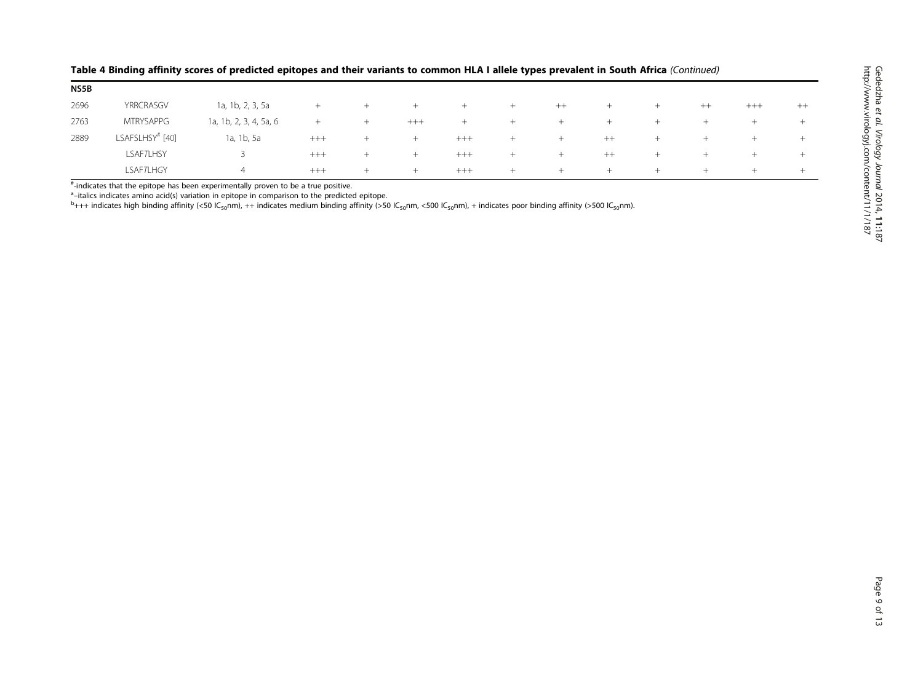| NS5B |                  |                        |        |        |       |        |        |        |         |     |         |       |        |
|------|------------------|------------------------|--------|--------|-------|--------|--------|--------|---------|-----|---------|-------|--------|
| 2696 | YRRCRASGV        | 1a, 1b, 2, 3, 5a       | $^{+}$ | $^{+}$ | $+$   | $+$    | $^{+}$ | $++$   | $+$     | $+$ | $^{++}$ | $+++$ | $++$   |
| 2763 | <b>MTRYSAPPG</b> | 1a, 1b, 2, 3, 4, 5a, 6 | $+$    | $^{+}$ | $+++$ | $^{+}$ | $^{+}$ | $^{+}$ | $^+$    | $+$ | $^{+}$  | $+$   | $+$    |
| 2889 | LSAFSLHSY# [40]  | 1a, 1b, 5a             | $+++$  | $^{+}$ | $+$   | $+++$  | $^{+}$ | $^+$   | $^{++}$ | $+$ | $^{+}$  | $+$   | $^{+}$ |
|      | <b>LSAFTLHSY</b> |                        | $+++$  | $^{+}$ | $+$   | $+++$  | $^{+}$ | $^{+}$ | $^{++}$ | $+$ | $^{+}$  | $+$   | $^{+}$ |
|      | <b>LSAFTLHGY</b> | 4                      | $+++$  | $^{+}$ | $+$   | $+++$  | $^{+}$ | $^+$   | $+$     | $+$ | $^{+}$  | $\pm$ | $+$    |

#### Table 4 Binding affinity scores of predicted epitopes and their variants to common HLA I allele types prevalent in South Africa (Continued)

# -indicates that the epitope has been experimentally proven to be a true positive.

<sup>a</sup>-italics indicates amino acid(s) variation in epitope in comparison to the predicted epitope.

<sup>a</sup>–italics indicates amino acid(s) variation in epitope in comparison to the predicted epitope.<br><sup>b</sup>+++ indicates high binding affinity (<50 lC<sub>so</sub>nm), ++ indicates medium binding affinity (>50 lC<sub>so</sub>nm, <500 lC<sub>so</sub>nm), +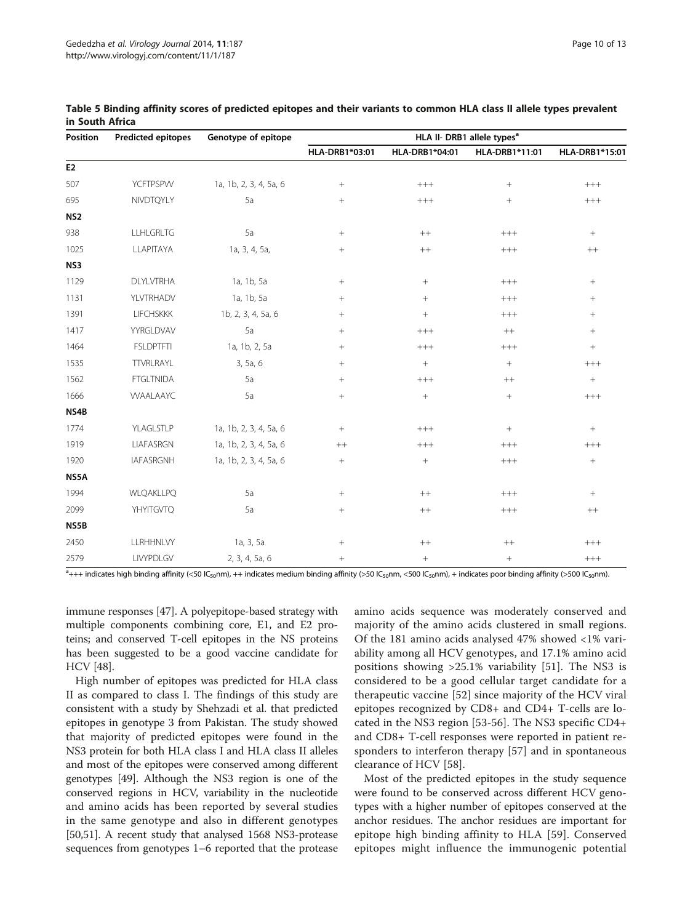| Position        | <b>Predicted epitopes</b> | Genotype of epitope    | HLA II- DRB1 allele types <sup>a</sup> |                  |                  |                  |  |  |  |  |
|-----------------|---------------------------|------------------------|----------------------------------------|------------------|------------------|------------------|--|--|--|--|
|                 |                           |                        | HLA-DRB1*03:01                         | HLA-DRB1*04:01   | HLA-DRB1*11:01   | HLA-DRB1*15:01   |  |  |  |  |
| E <sub>2</sub>  |                           |                        |                                        |                  |                  |                  |  |  |  |  |
| 507             | YCFTPSPVV                 | 1a, 1b, 2, 3, 4, 5a, 6 | $+$                                    | $++++$           | $^{+}$           | $^{+++}$         |  |  |  |  |
| 695             | NIVDTQYLY                 | 5a                     | $^{+}$                                 | $++++$           | $^{+}$           | $^{+++}$         |  |  |  |  |
| NS <sub>2</sub> |                           |                        |                                        |                  |                  |                  |  |  |  |  |
| 938             | <b>LLHLGRLTG</b>          | 5a                     | $\! +$                                 | $^{++}$          | $^{+++}$         | $+$              |  |  |  |  |
| 1025            | LLAPITAYA                 | 1a, 3, 4, 5a,          | $^{+}$                                 | $++$             | $++++$           | $^{++}\,$        |  |  |  |  |
| NS3             |                           |                        |                                        |                  |                  |                  |  |  |  |  |
| 1129            | <b>DLYLVTRHA</b>          | 1a, 1b, 5a             | $+$                                    | $^{+}$           | $^{+++}$         | $+$              |  |  |  |  |
| 1131            | YLVTRHADV                 | 1a, 1b, 5a             | $\! + \!\!\!\!$                        | $\! + \!\!\!\!$  | $++++$           | $\! + \!\!\!\!$  |  |  |  |  |
| 1391            | <b>LIFCHSKKK</b>          | 1b, 2, 3, 4, 5a, 6     | $^{+}$                                 | $+$              | $++++$           | $\! + \!\!\!\!$  |  |  |  |  |
| 1417            | YYRGLDVAV                 | 5a                     | $^{+}$                                 | $++++$           | $^{++}\,$        | $+$              |  |  |  |  |
| 1464            | <b>FSLDPTFTI</b>          | 1a, 1b, 2, 5a          | $+$                                    | $+++$            | $^{+++}$         | $\boldsymbol{+}$ |  |  |  |  |
| 1535            | TTVRLRAYL                 | 3, 5a, 6               | $\! + \!\!\!\!$                        | $\boldsymbol{+}$ | $\boldsymbol{+}$ | $^{+++}$         |  |  |  |  |
| 1562            | <b>FTGLTNIDA</b>          | 5a                     | $^{+}$                                 | $++++$           | $^{++}$          | $+$              |  |  |  |  |
| 1666            | <b>WAALAAYC</b>           | 5a                     | $^{+}$                                 | $^{+}$           | $^{+}$           | $++++$           |  |  |  |  |
| NS4B            |                           |                        |                                        |                  |                  |                  |  |  |  |  |
| 1774            | YLAGLSTLP                 | 1a, 1b, 2, 3, 4, 5a, 6 | $^{+}$                                 | $+++$            | $\, +$           | $+$              |  |  |  |  |
| 1919            | LIAFASRGN                 | 1a, 1b, 2, 3, 4, 5a, 6 | $^{++}$                                | $^{+++}$         | $++++$           | $^{+++}$         |  |  |  |  |
| 1920            | <b>IAFASRGNH</b>          | 1a, 1b, 2, 3, 4, 5a, 6 | $+$                                    | $^{+}$           | $^{+++}$         | $\boldsymbol{+}$ |  |  |  |  |
| NS5A            |                           |                        |                                        |                  |                  |                  |  |  |  |  |
| 1994            | WLQAKLLPQ                 | 5a                     |                                        | $++$             | $++++$           |                  |  |  |  |  |
| 2099            | YHYITGVTQ                 | 5a                     | $^{+}$                                 | $++$             | $++++$           | $^{++}$          |  |  |  |  |
| NS5B            |                           |                        |                                        |                  |                  |                  |  |  |  |  |
| 2450            | LLRHHNLVY                 | 1a, 3, 5a              | $\boldsymbol{+}$                       | $^{++}\,$        | $^{++}$          | $+++$            |  |  |  |  |
| 2579            | LIVYPDLGV                 | 2, 3, 4, 5a, 6         | $+$                                    | $\! + \!\!\!\!$  | $\! + \!\!\!\!$  | $^{+++}$         |  |  |  |  |

<span id="page-9-0"></span>Table 5 Binding affinity scores of predicted epitopes and their variants to common HLA class II allele types prevalent in South Africa

 $a_{+++}$  indicates high binding affinity (<50 IC<sub>50</sub>nm), ++ indicates medium binding affinity (>50 IC<sub>50</sub>nm, <500 IC<sub>50</sub>nm), + indicates poor binding affinity (>500 IC<sub>50</sub>nm).

immune responses [\[47](#page-12-0)]. A polyepitope-based strategy with multiple components combining core, E1, and E2 proteins; and conserved T-cell epitopes in the NS proteins has been suggested to be a good vaccine candidate for HCV [\[48](#page-12-0)].

High number of epitopes was predicted for HLA class II as compared to class I. The findings of this study are consistent with a study by Shehzadi et al. that predicted epitopes in genotype 3 from Pakistan. The study showed that majority of predicted epitopes were found in the NS3 protein for both HLA class I and HLA class II alleles and most of the epitopes were conserved among different genotypes [\[49\]](#page-12-0). Although the NS3 region is one of the conserved regions in HCV, variability in the nucleotide and amino acids has been reported by several studies in the same genotype and also in different genotypes [[50,51](#page-12-0)]. A recent study that analysed 1568 NS3-protease sequences from genotypes 1–6 reported that the protease

amino acids sequence was moderately conserved and majority of the amino acids clustered in small regions. Of the 181 amino acids analysed 47% showed <1% variability among all HCV genotypes, and 17.1% amino acid positions showing >25.1% variability [[51\]](#page-12-0). The NS3 is considered to be a good cellular target candidate for a therapeutic vaccine [[52\]](#page-12-0) since majority of the HCV viral epitopes recognized by CD8+ and CD4+ T-cells are located in the NS3 region [[53-56\]](#page-12-0). The NS3 specific CD4+ and CD8+ T-cell responses were reported in patient responders to interferon therapy [[57\]](#page-12-0) and in spontaneous clearance of HCV [\[58](#page-12-0)].

Most of the predicted epitopes in the study sequence were found to be conserved across different HCV genotypes with a higher number of epitopes conserved at the anchor residues. The anchor residues are important for epitope high binding affinity to HLA [[59\]](#page-12-0). Conserved epitopes might influence the immunogenic potential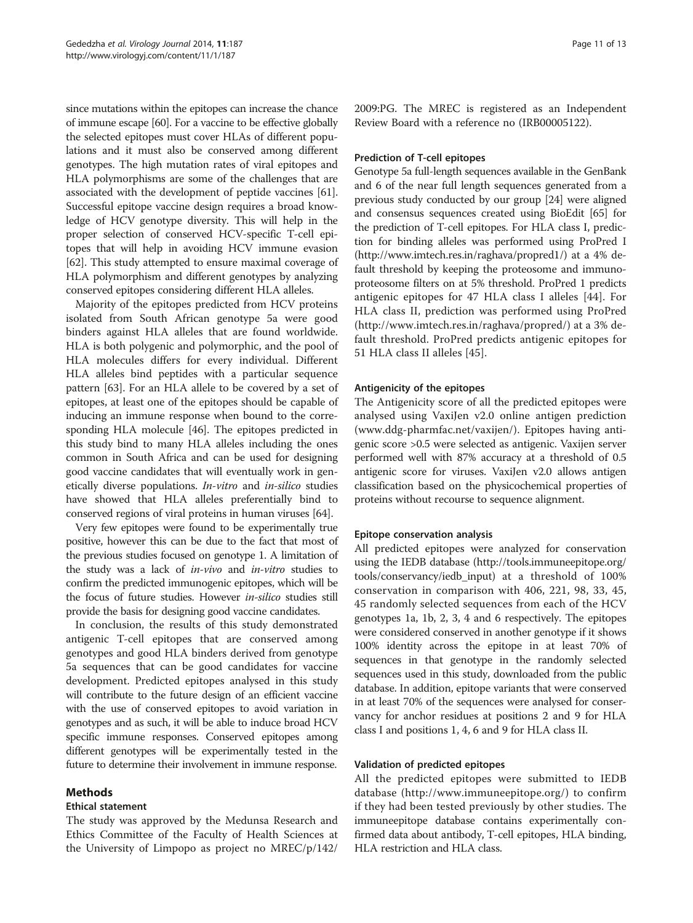since mutations within the epitopes can increase the chance of immune escape [\[60\]](#page-12-0). For a vaccine to be effective globally the selected epitopes must cover HLAs of different populations and it must also be conserved among different genotypes. The high mutation rates of viral epitopes and HLA polymorphisms are some of the challenges that are associated with the development of peptide vaccines [[61](#page-12-0)]. Successful epitope vaccine design requires a broad knowledge of HCV genotype diversity. This will help in the proper selection of conserved HCV-specific T-cell epitopes that will help in avoiding HCV immune evasion [[62](#page-12-0)]. This study attempted to ensure maximal coverage of HLA polymorphism and different genotypes by analyzing conserved epitopes considering different HLA alleles.

Majority of the epitopes predicted from HCV proteins isolated from South African genotype 5a were good binders against HLA alleles that are found worldwide. HLA is both polygenic and polymorphic, and the pool of HLA molecules differs for every individual. Different HLA alleles bind peptides with a particular sequence pattern [[63](#page-12-0)]. For an HLA allele to be covered by a set of epitopes, at least one of the epitopes should be capable of inducing an immune response when bound to the corresponding HLA molecule [\[46\]](#page-12-0). The epitopes predicted in this study bind to many HLA alleles including the ones common in South Africa and can be used for designing good vaccine candidates that will eventually work in genetically diverse populations. In-vitro and in-silico studies have showed that HLA alleles preferentially bind to conserved regions of viral proteins in human viruses [[64](#page-12-0)].

Very few epitopes were found to be experimentally true positive, however this can be due to the fact that most of the previous studies focused on genotype 1. A limitation of the study was a lack of in-vivo and in-vitro studies to confirm the predicted immunogenic epitopes, which will be the focus of future studies. However in-silico studies still provide the basis for designing good vaccine candidates.

In conclusion, the results of this study demonstrated antigenic T-cell epitopes that are conserved among genotypes and good HLA binders derived from genotype 5a sequences that can be good candidates for vaccine development. Predicted epitopes analysed in this study will contribute to the future design of an efficient vaccine with the use of conserved epitopes to avoid variation in genotypes and as such, it will be able to induce broad HCV specific immune responses. Conserved epitopes among different genotypes will be experimentally tested in the future to determine their involvement in immune response.

# Methods

## Ethical statement

The study was approved by the Medunsa Research and Ethics Committee of the Faculty of Health Sciences at the University of Limpopo as project no MREC/p/142/

2009:PG. The MREC is registered as an Independent Review Board with a reference no (IRB00005122).

#### Prediction of T-cell epitopes

Genotype 5a full-length sequences available in the GenBank and 6 of the near full length sequences generated from a previous study conducted by our group [[24](#page-11-0)] were aligned and consensus sequences created using BioEdit [[65\]](#page-12-0) for the prediction of T-cell epitopes. For HLA class I, prediction for binding alleles was performed using ProPred I ([http://www.imtech.res.in/raghava/propred1/\)](http://www.imtech.res.in/raghava/propred1/) at a 4% default threshold by keeping the proteosome and immunoproteosome filters on at 5% threshold. ProPred 1 predicts antigenic epitopes for 47 HLA class I alleles [[44\]](#page-12-0). For HLA class II, prediction was performed using ProPred (<http://www.imtech.res.in/raghava/propred/>) at a 3% default threshold. ProPred predicts antigenic epitopes for 51 HLA class II alleles [\[45](#page-12-0)].

#### Antigenicity of the epitopes

The Antigenicity score of all the predicted epitopes were analysed using VaxiJen v2.0 online antigen prediction ([www.ddg-pharmfac.net/vaxijen/](http://www.ddg-pharmfac.net/vaxijen/)). Epitopes having antigenic score >0.5 were selected as antigenic. Vaxijen server performed well with 87% accuracy at a threshold of 0.5 antigenic score for viruses. VaxiJen v2.0 allows antigen classification based on the physicochemical properties of proteins without recourse to sequence alignment.

#### Epitope conservation analysis

All predicted epitopes were analyzed for conservation using the IEDB database ([http://tools.immuneepitope.org/](http://tools.immuneepitope.org/tools/conservancy/iedb_input) [tools/conservancy/iedb\\_input\)](http://tools.immuneepitope.org/tools/conservancy/iedb_input) at a threshold of 100% conservation in comparison with 406, 221, 98, 33, 45, 45 randomly selected sequences from each of the HCV genotypes 1a, 1b, 2, 3, 4 and 6 respectively. The epitopes were considered conserved in another genotype if it shows 100% identity across the epitope in at least 70% of sequences in that genotype in the randomly selected sequences used in this study, downloaded from the public database. In addition, epitope variants that were conserved in at least 70% of the sequences were analysed for conservancy for anchor residues at positions 2 and 9 for HLA class I and positions 1, 4, 6 and 9 for HLA class II.

#### Validation of predicted epitopes

All the predicted epitopes were submitted to IEDB database [\(http://www.immuneepitope.org/\)](http://www.immuneepitope.org/) to confirm if they had been tested previously by other studies. The immuneepitope database contains experimentally confirmed data about antibody, T-cell epitopes, HLA binding, HLA restriction and HLA class.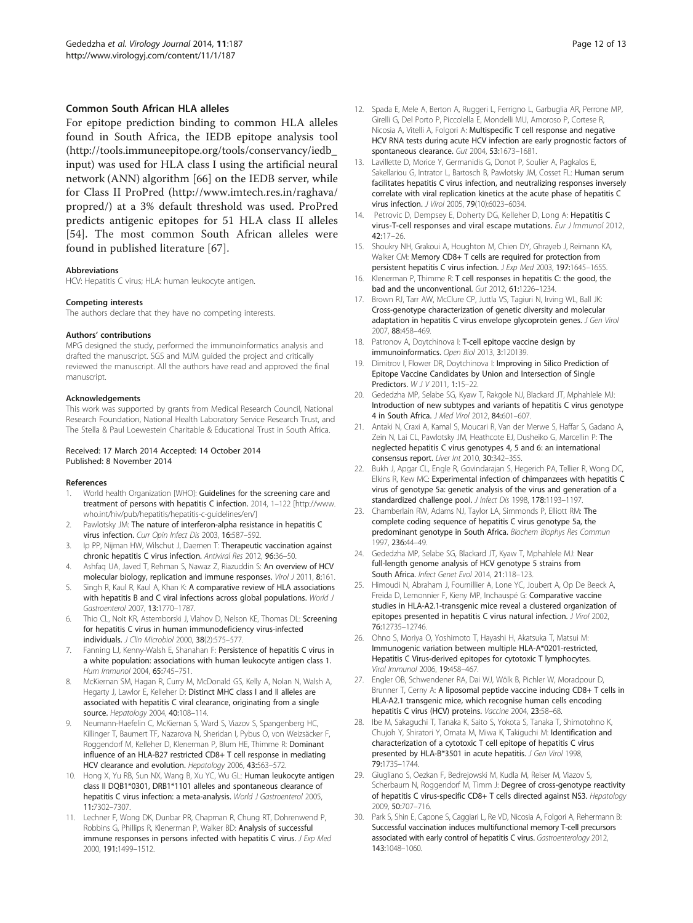#### <span id="page-11-0"></span>Common South African HLA alleles

For epitope prediction binding to common HLA alleles found in South Africa, the IEDB epitope analysis tool ([http://tools.immuneepitope.org/tools/conservancy/iedb\\_](http://tools.immuneepitope.org/tools/conservancy/iedb_input) [input](http://tools.immuneepitope.org/tools/conservancy/iedb_input)) was used for HLA class I using the artificial neural network (ANN) algorithm [[66\]](#page-12-0) on the IEDB server, while for Class II ProPred ([http://www.imtech.res.in/raghava/](http://www.imtech.res.in/raghava/propred/) [propred/](http://www.imtech.res.in/raghava/propred/)) at a 3% default threshold was used. ProPred predicts antigenic epitopes for 51 HLA class II alleles [[54\]](#page-12-0). The most common South African alleles were found in published literature [[67\]](#page-12-0).

#### Abbreviations

HCV: Hepatitis C virus; HLA: human leukocyte antigen.

#### Competing interests

The authors declare that they have no competing interests.

#### Authors' contributions

MPG designed the study, performed the immunoinformatics analysis and drafted the manuscript. SGS and MJM guided the project and critically reviewed the manuscript. All the authors have read and approved the final manuscript.

#### Acknowledgements

This work was supported by grants from Medical Research Council, National Research Foundation, National Health Laboratory Service Research Trust, and The Stella & Paul Loewestein Charitable & Educational Trust in South Africa.

#### Received: 17 March 2014 Accepted: 14 October 2014 Published: 8 November 2014

#### References

- 1. World health Organization [WHO]: Guidelines for the screening care and treatment of persons with hepatitis C infection. 2014, 1–122 [[http://www.](http://www.who.int/hiv/pub/hepatitis/hepatitis-c-guidelines/en/) [who.int/hiv/pub/hepatitis/hepatitis-c-guidelines/en/](http://www.who.int/hiv/pub/hepatitis/hepatitis-c-guidelines/en/)]
- 2. Pawlotsky JM: The nature of interferon-alpha resistance in hepatitis C virus infection. Curr Opin Infect Dis 2003, 16:587–592.
- 3. Ip PP, Nijman HW, Wilschut J, Daemen T: Therapeutic vaccination against chronic hepatitis C virus infection. Antiviral Res 2012, 96:36–50.
- 4. Ashfaq UA, Javed T, Rehman S, Nawaz Z, Riazuddin S: An overview of HCV molecular biology, replication and immune responses. Virol J 2011, 8:161.
- 5. Singh R, Kaul R, Kaul A, Khan K: A comparative review of HLA associations with hepatitis B and C viral infections across global populations. World J Gastroenterol 2007, 13:1770–1787.
- 6. Thio CL, Nolt KR, Astemborski J, Vlahov D, Nelson KE, Thomas DL: Screening for hepatitis C virus in human immunodeficiency virus-infected individuals. J Clin Microbiol 2000, 38(2):575–577.
- Fanning LJ, Kenny-Walsh E, Shanahan F: Persistence of hepatitis C virus in a white population: associations with human leukocyte antigen class 1. Hum Immunol 2004, 65:745–751.
- 8. McKiernan SM, Hagan R, Curry M, McDonald GS, Kelly A, Nolan N, Walsh A, Hegarty J, Lawlor E, Kelleher D: Distinct MHC class I and II alleles are associated with hepatitis C viral clearance, originating from a single source. Hepatology 2004, 40:108-114.
- 9. Neumann-Haefelin C, McKiernan S, Ward S, Viazov S, Spangenberg HC, Killinger T, Baumert TF, Nazarova N, Sheridan I, Pybus O, von Weizsäcker F, Roggendorf M, Kelleher D, Klenerman P, Blum HE, Thimme R: Dominant influence of an HLA-B27 restricted CD8+ T cell response in mediating HCV clearance and evolution. Hepatology 2006, 43:563–572.
- 10. Hong X, Yu RB, Sun NX, Wang B, Xu YC, Wu GL: Human leukocyte antigen class II DQB1\*0301, DRB1\*1101 alleles and spontaneous clearance of hepatitis C virus infection: a meta-analysis. World J Gastroenterol 2005, 11:7302–7307.
- 11. Lechner F, Wong DK, Dunbar PR, Chapman R, Chung RT, Dohrenwend P, Robbins G, Phillips R, Klenerman P, Walker BD: Analysis of successful immune responses in persons infected with hepatitis C virus. J Exp Med 2000, 191:1499–1512.
- 12. Spada E, Mele A, Berton A, Ruggeri L, Ferrigno L, Garbuglia AR, Perrone MP, Girelli G, Del Porto P, Piccolella E, Mondelli MU, Amoroso P, Cortese R, Nicosia A, Vitelli A, Folgori A: Multispecific T cell response and negative HCV RNA tests during acute HCV infection are early prognostic factors of spontaneous clearance. Gut 2004, 53:1673–1681.
- 13. Lavillette D, Morice Y, Germanidis G, Donot P, Soulier A, Pagkalos E, Sakellariou G, Intrator L, Bartosch B, Pawlotsky JM, Cosset FL: Human serum facilitates hepatitis C virus infection, and neutralizing responses inversely correlate with viral replication kinetics at the acute phase of hepatitis C virus infection. J Virol 2005, 79(10):6023–6034.
- Petrovic D, Dempsey E, Doherty DG, Kelleher D, Long A: Hepatitis C virus-T-cell responses and viral escape mutations. Eur J Immunol 2012, 42:17–26.
- 15. Shoukry NH, Grakoui A, Houghton M, Chien DY, Ghrayeb J, Reimann KA, Walker CM: Memory CD8+ T cells are required for protection from persistent hepatitis C virus infection. J Exp Med 2003, 197:1645–1655.
- 16. Klenerman P, Thimme R: T cell responses in hepatitis C: the good, the bad and the unconventional. Gut 2012, 61:1226–1234.
- 17. Brown RJ, Tarr AW, McClure CP, Juttla VS, Tagiuri N, Irving WL, Ball JK: Cross-genotype characterization of genetic diversity and molecular adaptation in hepatitis C virus envelope glycoprotein genes. J Gen Virol 2007, 88:458–469.
- 18. Patronov A, Doytchinova I: T-cell epitope vaccine design by immunoinformatics. Open Biol 2013, 3:120139.
- 19. Dimitrov I, Flower DR, Doytchinova I: Improving in Silico Prediction of Epitope Vaccine Candidates by Union and Intersection of Single Predictors. WJV 2011, 1:15–22.
- 20. Gededzha MP, Selabe SG, Kyaw T, Rakgole NJ, Blackard JT, Mphahlele MJ: Introduction of new subtypes and variants of hepatitis C virus genotype 4 in South Africa. J Med Virol 2012, 84:601–607.
- 21. Antaki N, Craxi A, Kamal S, Moucari R, Van der Merwe S, Haffar S, Gadano A, Zein N, Lai CL, Pawlotsky JM, Heathcote EJ, Dusheiko G, Marcellin P: The neglected hepatitis C virus genotypes 4, 5 and 6: an international consensus report. Liver Int 2010, 30:342–355.
- 22. Bukh J, Apgar CL, Engle R, Govindarajan S, Hegerich PA, Tellier R, Wong DC, Elkins R, Kew MC: Experimental infection of chimpanzees with hepatitis C virus of genotype 5a: genetic analysis of the virus and generation of a standardized challenge pool. J Infect Dis 1998, 178:1193-1197.
- 23. Chamberlain RW, Adams NJ, Taylor LA, Simmonds P, Elliott RM: The complete coding sequence of hepatitis C virus genotype 5a, the predominant genotype in South Africa. Biochem Biophys Res Commun 1997, 236:44–49.
- 24. Gededzha MP, Selabe SG, Blackard JT, Kyaw T, Mphahlele MJ: Near full-length genome analysis of HCV genotype 5 strains from South Africa. Infect Genet Evol 2014, 21:118–123.
- 25. Himoudi N, Abraham J, Fournillier A, Lone YC, Joubert A, Op De Beeck A, Freida D, Lemonnier F, Kieny MP, Inchauspé G: Comparative vaccine studies in HLA-A2.1-transgenic mice reveal a clustered organization of epitopes presented in hepatitis C virus natural infection. J Virol 2002, 76:12735–12746.
- 26. Ohno S, Moriya O, Yoshimoto T, Hayashi H, Akatsuka T, Matsui M: Immunogenic variation between multiple HLA-A\*0201-restricted, Hepatitis C Virus-derived epitopes for cytotoxic T lymphocytes. Viral Immunol 2006, 19:458–467.
- 27. Engler OB, Schwendener RA, Dai WJ, Wölk B, Pichler W, Moradpour D, Brunner T, Cerny A: A liposomal peptide vaccine inducing CD8+ T cells in HLA-A2.1 transgenic mice, which recognise human cells encoding hepatitis C virus (HCV) proteins. Vaccine 2004, 23:58–68.
- 28. Ibe M, Sakaguchi T, Tanaka K, Saito S, Yokota S, Tanaka T, Shimotohno K, Chujoh Y, Shiratori Y, Omata M, Miwa K, Takiguchi M: Identification and characterization of a cytotoxic T cell epitope of hepatitis C virus presented by HLA-B\*3501 in acute hepatitis. J Gen Virol 1998, 79:1735–1744.
- 29. Giugliano S, Oezkan F, Bedrejowski M, Kudla M, Reiser M, Viazov S, Scherbaum N, Roggendorf M, Timm J: Degree of cross-genotype reactivity of hepatitis C virus-specific CD8+ T cells directed against NS3. Hepatology 2009, 50:707–716.
- 30. Park S, Shin E, Capone S, Caggiari L, Re VD, Nicosia A, Folgori A, Rehermann B: Successful vaccination induces multifunctional memory T-cell precursors associated with early control of hepatitis C virus. Gastroenterology 2012, 143:1048–1060.